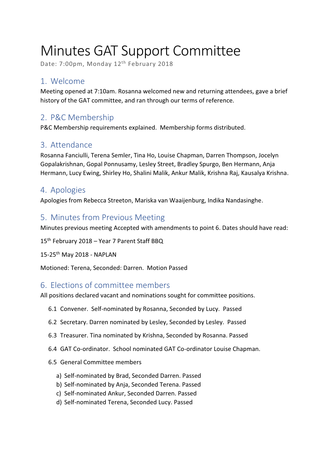# Minutes GAT Support Committee

Date: 7:00pm, Monday 12<sup>th</sup> February 2018

# 1. Welcome

Meeting opened at 7:10am. Rosanna welcomed new and returning attendees, gave a brief history of the GAT committee, and ran through our terms of reference.

# 2. P&C Membership

P&C Membership requirements explained. Membership forms distributed.

## 3. Attendance

Rosanna Fanciulli, Terena Semler, Tina Ho, Louise Chapman, Darren Thompson, Jocelyn Gopalakrishnan, Gopal Ponnusamy, Lesley Street, Bradley Spurgo, Ben Hermann, Anja Hermann, Lucy Ewing, Shirley Ho, Shalini Malik, Ankur Malik, Krishna Raj, Kausalya Krishna.

## 4. Apologies

Apologies from Rebecca Streeton, Mariska van Waaijenburg, Indika Nandasinghe.

## 5. Minutes from Previous Meeting

Minutes previous meeting Accepted with amendments to point 6. Dates should have read:

15<sup>th</sup> February 2018 - Year 7 Parent Staff BBQ

15-25th May 2018 - NAPLAN

Motioned: Terena, Seconded: Darren. Motion Passed

## 6. Elections of committee members

All positions declared vacant and nominations sought for committee positions.

- 6.1 Convener. Self-nominated by Rosanna, Seconded by Lucy. Passed
- 6.2 Secretary. Darren nominated by Lesley, Seconded by Lesley. Passed
- 6.3 Treasurer. Tina nominated by Krishna, Seconded by Rosanna. Passed
- 6.4 GAT Co-ordinator. School nominated GAT Co-ordinator Louise Chapman.
- 6.5 General Committee members
	- a) Self-nominated by Brad, Seconded Darren. Passed
	- b) Self-nominated by Anja, Seconded Terena. Passed
	- c) Self-nominated Ankur, Seconded Darren. Passed
	- d) Self-nominated Terena, Seconded Lucy. Passed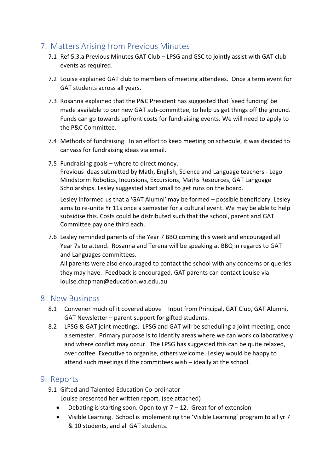## 7. Matters Arising from Previous Minutes

- 7.1 Ref 5.3.a Previous Minutes GAT Club LPSG and GSC to jointly assist with GAT club events as required.
- 7.2 Louise explained GAT club to members of meeting attendees. Once a term event for GAT students across all years.
- 7.3 Rosanna explained that the P&C President has suggested that 'seed funding' be made available to our new GAT sub-committee, to help us get things off the ground. Funds can go towards upfront costs for fundraising events. We will need to apply to the P&C Committee.
- 7.4 Methods of fundraising. In an effort to keep meeting on schedule, it was decided to canvass for fundraising ideas via email.
- 7.5 Fundraising goals where to direct money. Previous ideas submitted by Math, English, Science and Language teachers - Lego Mindstorm Robotics, Incursions, Excursions, Maths Resources, GAT Language Scholarships. Lesley suggested start small to get runs on the board.

Lesley informed us that a 'GAT Alumni' may be formed – possible beneficiary. Lesley aims to re-unite Yr 11s once a semester for a cultural event. We may be able to help subsidise this. Costs could be distributed such that the school, parent and GAT Committee pay one third each.

7.6 Lesley reminded parents of the Year 7 BBQ coming this week and encouraged all Year 7s to attend. Rosanna and Terena will be speaking at BBQ in regards to GAT and Languages committees.

All parents were also encouraged to contact the school with any concerns or queries they may have. Feedback is encouraged. GAT parents can contact Louise via louise.chapman@education.wa.edu.au

#### 8. New Business

- 8.1 Convener much of it covered above Input from Principal, GAT Club, GAT Alumni, GAT Newsletter – parent support for gifted students.
- 8.2 LPSG & GAT joint meetings. LPSG and GAT will be scheduling a joint meeting, once a semester. Primary purpose is to identify areas where we can work collaboratively and where conflict may occur. The LPSG has suggested this can be quite relaxed, over coffee. Executive to organise, others welcome. Lesley would be happy to attend such meetings if the committees wish – ideally at the school.

## 9. Reports

- 9.1 Gifted and Talented Education Co-ordinator Louise presented her written report. (see attached)
	- Debating is starting soon. Open to yr  $7 12$ . Great for of extension
	- · Visible Learning. School is implementing the 'Visible Learning' program to all yr 7 & 10 students, and all GAT students.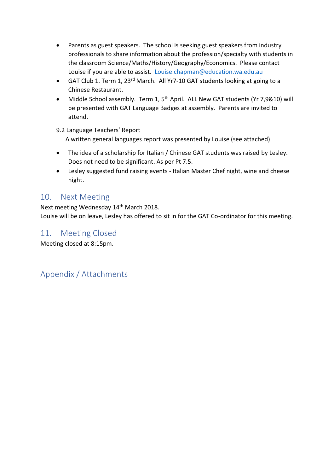- · Parents as guest speakers. The school is seeking guest speakers from industry professionals to share information about the profession/specialty with students in the classroom Science/Maths/History/Geography/Economics. Please contact Louise if you are able to assist. Louise.chapman@education.wa.edu.au
- GAT Club 1. Term 1, 23<sup>rd</sup> March. All Yr7-10 GAT students looking at going to a Chinese Restaurant.
- Middle School assembly. Term 1, 5<sup>th</sup> April. ALL New GAT students (Yr 7,9&10) will be presented with GAT Language Badges at assembly. Parents are invited to attend.

9.2 Language Teachers' Report A written general languages report was presented by Louise (see attached)

- The idea of a scholarship for Italian / Chinese GAT students was raised by Lesley. Does not need to be significant. As per Pt 7.5.
- · Lesley suggested fund raising events Italian Master Chef night, wine and cheese night.

#### 10. Next Meeting

Next meeting Wednesday 14<sup>th</sup> March 2018. Louise will be on leave, Lesley has offered to sit in for the GAT Co-ordinator for this meeting.

## 11. Meeting Closed

Meeting closed at 8:15pm.

# Appendix / Attachments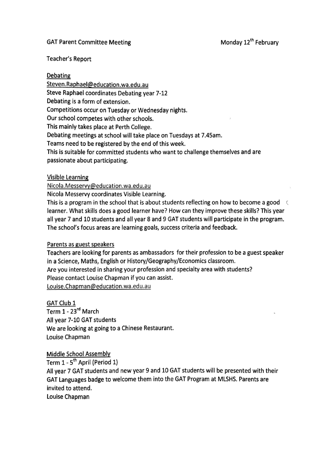#### **GAT Parent Committee Meeting**

#### **Teacher's Report**

#### **Debating**

Steven.Raphael@education.wa.edu.au Steve Raphael coordinates Debating year 7-12 Debating is a form of extension. Competitions occur on Tuesday or Wednesday nights. Our school competes with other schools. This mainly takes place at Perth College. Debating meetings at school will take place on Tuesdays at 7.45am. Teams need to be registered by the end of this week. This is suitable for committed students who want to challenge themselves and are passionate about participating.

#### **Visible Learning**

Nicola.Messervy@education.wa.edu.au

Nicola Messervy coordinates Visible Learning.

This is a program in the school that is about students reflecting on how to become a good ( learner. What skills does a good learner have? How can they improve these skills? This year all year 7 and 10 students and all year 8 and 9 GAT students will participate in the program. The school's focus areas are learning goals, success criteria and feedback.

#### Parents as guest speakers

Teachers are looking for parents as ambassadors for their profession to be a guest speaker in a Science, Maths, English or History/Geography/Economics classroom. Are you interested in sharing your profession and specialty area with students? Please contact Louise Chapman if you can assist. Louise.Chapman@education.wa.edu.au

**GAT Club 1** Term 1 - 23rd March All year 7-10 GAT students We are looking at going to a Chinese Restaurant. Louise Chapman

**Middle School Assembly** 

Term 1 - 5<sup>th</sup> April (Period 1) All year 7 GAT students and new year 9 and 10 GAT students will be presented with their GAT Languages badge to welcome them into the GAT Program at MLSHS. Parents are invited to attend. Louise Chapman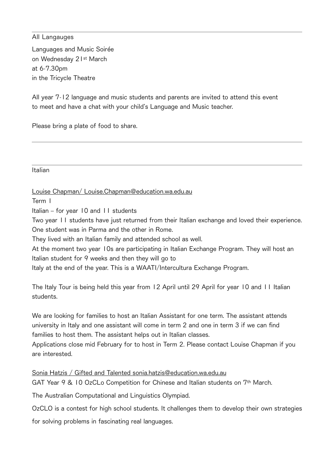#### All Langauges

Languages and Music Soirée on Wednesday 21<sup>st</sup> March at 6-7.30pm in the Tricycle Theatre

All year 7-12 language and music students and parents are invited to attend this event to meet and have a chat with your child's Language and Music teacher.

Please bring a plate of food to share.

**Italian** 

Louise Chapman/ Louise.Chapman@education.wa.edu.au

Term I

Italian - for year 10 and 11 students

Two year 11 students have just returned from their Italian exchange and loved their experience. One student was in Parma and the other in Rome.

They lived with an Italian family and attended school as well.

At the moment two year 10s are participating in Italian Exchange Program. They will host an Italian student for 9 weeks and then they will go to

Italy at the end of the year. This is a WAATI/Intercultura Exchange Program.

The Italy Tour is being held this year from 12 April until 29 April for year 10 and 11 Italian students.

We are looking for families to host an Italian Assistant for one term. The assistant attends university in Italy and one assistant will come in term 2 and one in term 3 if we can find families to host them. The assistant helps out in Italian classes.

Applications close mid February for to host in Term 2. Please contact Louise Chapman if you are interested.

Sonia Hatzis / Gifted and Talented sonia.hatzis@education.wa.edu.au GAT Year 9 & 10 OzCLo Competition for Chinese and Italian students on 7<sup>th</sup> March.

The Australian Computational and Linguistics Olympiad.

OzCLO is a contest for high school students. It challenges them to develop their own strategies

for solving problems in fascinating real languages.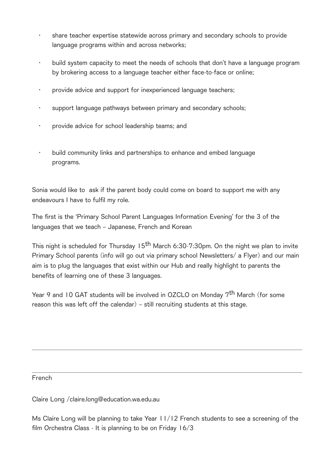- share teacher expertise statewide across primary and secondary schools to provide language programs within and across networks;
- build system capacity to meet the needs of schools that don't have a language program by brokering access to a language teacher either face-to-face or online:
- provide advice and support for inexperienced language teachers;  $\ddot{\phantom{0}}$
- support language pathways between primary and secondary schools;
- provide advice for school leadership teams; and
- build community links and partnerships to enhance and embed language  $\ddot{\phantom{0}}$ programs.

Sonia would like to ask if the parent body could come on board to support me with any endeavours I have to fulfil my role.

The first is the 'Primary School Parent Languages Information Evening' for the 3 of the languages that we teach - Japanese, French and Korean

This night is scheduled for Thursday 15<sup>th</sup> March 6:30-7:30pm. On the night we plan to invite Primary School parents (info will go out via primary school Newsletters/ a Flyer) and our main aim is to plug the languages that exist within our Hub and really highlight to parents the benefits of learning one of these 3 languages.

Year 9 and 10 GAT students will be involved in OZCLO on Mondav 7<sup>th</sup> March (for some reason this was left off the calendar) – still recruiting students at this stage.

French

Claire Long / claire.long@education.wa.edu.au

Ms Claire Long will be planning to take Year 11/12 French students to see a screening of the film Orchestra Class - It is planning to be on Friday 16/3